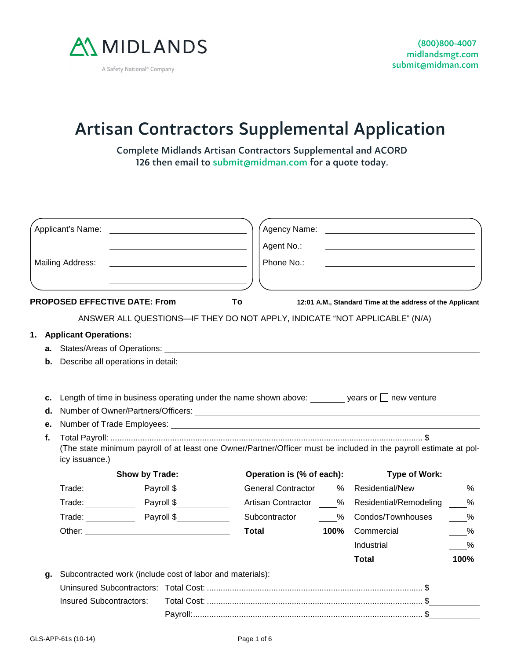

# Artisan Contractors Supplemental Application

Complete Midlands Artisan Contractors Supplemental and ACORD 126 then email to submit@midman.com for a quote today.

|    | Applicant's Name:                                                                                                                   |                                                                                                                       | Agency Name:              |      |                          |       |  |  |  |
|----|-------------------------------------------------------------------------------------------------------------------------------------|-----------------------------------------------------------------------------------------------------------------------|---------------------------|------|--------------------------|-------|--|--|--|
|    |                                                                                                                                     |                                                                                                                       | Agent No.:                |      |                          |       |  |  |  |
|    | <b>Mailing Address:</b>                                                                                                             | <u> 1980 - Johann Barbara, martin amerikan basal da</u>                                                               | Phone No.:                |      |                          |       |  |  |  |
|    |                                                                                                                                     |                                                                                                                       |                           |      |                          |       |  |  |  |
|    |                                                                                                                                     |                                                                                                                       |                           |      |                          |       |  |  |  |
|    |                                                                                                                                     | PROPOSED EFFECTIVE DATE: From ______________To _____________12:01 A.M., Standard Time at the address of the Applicant |                           |      |                          |       |  |  |  |
|    |                                                                                                                                     | ANSWER ALL QUESTIONS-IF THEY DO NOT APPLY, INDICATE "NOT APPLICABLE" (N/A)                                            |                           |      |                          |       |  |  |  |
|    | 1. Applicant Operations:                                                                                                            |                                                                                                                       |                           |      |                          |       |  |  |  |
|    |                                                                                                                                     |                                                                                                                       |                           |      |                          |       |  |  |  |
|    |                                                                                                                                     | <b>b.</b> Describe all operations in detail:                                                                          |                           |      |                          |       |  |  |  |
|    |                                                                                                                                     |                                                                                                                       |                           |      |                          |       |  |  |  |
|    |                                                                                                                                     |                                                                                                                       |                           |      |                          |       |  |  |  |
| c. |                                                                                                                                     | Length of time in business operating under the name shown above: years or $\Box$ new venture                          |                           |      |                          |       |  |  |  |
| d. |                                                                                                                                     |                                                                                                                       |                           |      |                          |       |  |  |  |
| е. |                                                                                                                                     |                                                                                                                       |                           |      |                          |       |  |  |  |
| f. |                                                                                                                                     |                                                                                                                       |                           |      |                          |       |  |  |  |
|    | (The state minimum payroll of at least one Owner/Partner/Officer must be included in the payroll estimate at pol-<br>icy issuance.) |                                                                                                                       |                           |      |                          |       |  |  |  |
|    |                                                                                                                                     | Show by Trade:                                                                                                        | Operation is (% of each): |      | <b>Type of Work:</b>     |       |  |  |  |
|    |                                                                                                                                     | Trade: Payroll \$                                                                                                     | General Contractor %      |      | Residential/New          | %     |  |  |  |
|    |                                                                                                                                     | Payroll \$                                                                                                            | Artisan Contractor %      |      | Residential/Remodeling % |       |  |  |  |
|    | Trade: ________                                                                                                                     | Payroll \$____________                                                                                                | Subcontractor %           |      | Condos/Townhouses        | $-$ % |  |  |  |
|    |                                                                                                                                     |                                                                                                                       | <b>Total</b>              | 100% | Commercial               | $\%$  |  |  |  |
|    |                                                                                                                                     |                                                                                                                       |                           |      | Industrial               | $\%$  |  |  |  |
|    |                                                                                                                                     |                                                                                                                       |                           |      | <b>Total</b>             | 100%  |  |  |  |
| q. |                                                                                                                                     | Subcontracted work (include cost of labor and materials):                                                             |                           |      |                          |       |  |  |  |
|    |                                                                                                                                     |                                                                                                                       |                           |      |                          |       |  |  |  |
|    | <b>Insured Subcontractors:</b>                                                                                                      |                                                                                                                       |                           |      |                          |       |  |  |  |
|    |                                                                                                                                     |                                                                                                                       |                           |      |                          |       |  |  |  |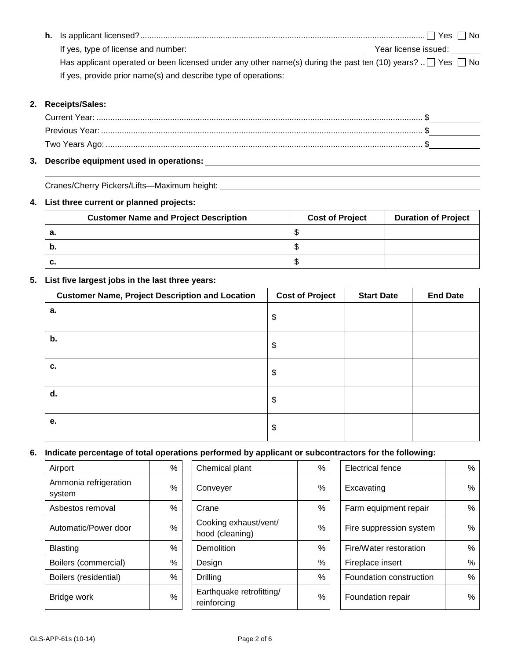|                                                                                                                        | Yes    No            |
|------------------------------------------------------------------------------------------------------------------------|----------------------|
| If yes, type of license and number:                                                                                    | Year license issued: |
| Has applicant operated or been licensed under any other name(s) during the past ten (10) years? . $\Box$ Yes $\Box$ No |                      |
| If yes, provide prior name(s) and describe type of operations:                                                         |                      |

#### **2. Receipts/Sales:**

| Current Year: |  |
|---------------|--|
|               |  |
|               |  |
|               |  |

## **3. Describe equipment used in operations:**

Cranes/Cherry Pickers/Lifts—Maximum height:

#### **4. List three current or planned projects:**

| <b>Customer Name and Project Description</b> | <b>Cost of Project</b> | <b>Duration of Project</b> |
|----------------------------------------------|------------------------|----------------------------|
| а.                                           |                        |                            |
| p.                                           |                        |                            |
| v.                                           | - 11                   |                            |

### **5. List five largest jobs in the last three years:**

| <b>Customer Name, Project Description and Location</b> | <b>Cost of Project</b> | <b>Start Date</b> | <b>End Date</b> |
|--------------------------------------------------------|------------------------|-------------------|-----------------|
| a.                                                     | \$                     |                   |                 |
| b.                                                     | \$                     |                   |                 |
| c.                                                     | \$                     |                   |                 |
| d.                                                     | \$                     |                   |                 |
| е.                                                     | \$                     |                   |                 |

#### **6. Indicate percentage of total operations performed by applicant or subcontractors for the following:**

| Airport                         | $\%$ | Chemical plant                           |
|---------------------------------|------|------------------------------------------|
| Ammonia refrigeration<br>system | ℅    | Conveyer                                 |
| Asbestos removal                | %    | Crane                                    |
| Automatic/Power door            | %    | Cooking exhaust/vent/<br>hood (cleaning) |
| <b>Blasting</b>                 | ℅    | Demolition                               |
| Boilers (commercial)            | %    | Design                                   |
| Boilers (residential)           | %    | Drilling                                 |
| Bridge work                     | ℅    | Earthquake retrofitting/<br>reinforcing  |

| Airport                         | %             | Chemical plant                           | %    | <b>Electrical fence</b> | %    |
|---------------------------------|---------------|------------------------------------------|------|-------------------------|------|
| Ammonia refrigeration<br>system | %             | Conveyer                                 | $\%$ | Excavating              | %    |
| Asbestos removal                | $\%$          | Crane                                    | %    | Farm equipment repair   | $\%$ |
| Automatic/Power door            | %             | Cooking exhaust/vent/<br>hood (cleaning) | $\%$ | Fire suppression system | %    |
| <b>Blasting</b>                 | %             | Demolition                               | %    | Fire/Water restoration  | $\%$ |
| Boilers (commercial)            | %             | Design                                   | %    | Fireplace insert        | %    |
| Boilers (residential)           | %             | <b>Drilling</b>                          | $\%$ | Foundation construction | $\%$ |
| Bridge work                     | $\frac{0}{0}$ | Earthquake retrofitting/<br>reinforcing  | %    | Foundation repair       | %    |

| Chemical plant                           | % | <b>Electrical fence</b> | ℅    |  |  |  |  |
|------------------------------------------|---|-------------------------|------|--|--|--|--|
| Conveyer                                 | ℅ | Excavating              | $\%$ |  |  |  |  |
| Crane                                    | ℅ | Farm equipment repair   | $\%$ |  |  |  |  |
| Cooking exhaust/vent/<br>hood (cleaning) | % | Fire suppression system | %    |  |  |  |  |
| Demolition                               | % | Fire/Water restoration  | $\%$ |  |  |  |  |
| Design                                   | ℅ | Fireplace insert        | $\%$ |  |  |  |  |
| Drilling                                 | ℅ | Foundation construction | %    |  |  |  |  |
| Earthquake retrofitting/<br>reinforcing  | % | Foundation repair       | %    |  |  |  |  |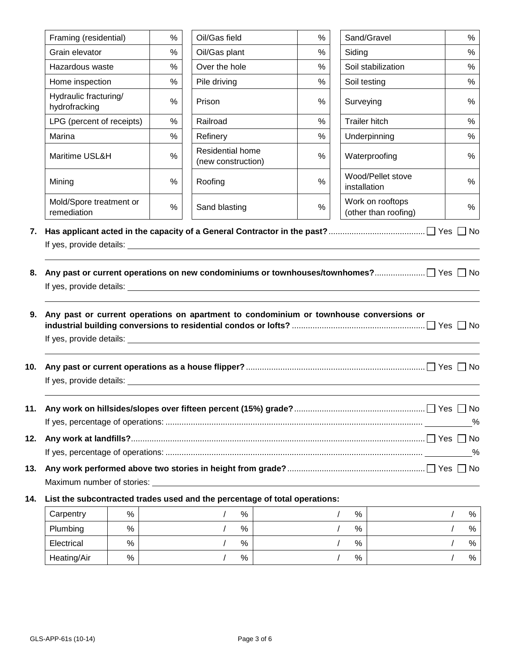| Framing (residential)                                                                  | $\%$          | Oil/Gas field                          | %    | Sand/Gravel                              | %    |  |
|----------------------------------------------------------------------------------------|---------------|----------------------------------------|------|------------------------------------------|------|--|
| Grain elevator                                                                         | $\%$          | Oil/Gas plant                          | $\%$ | Siding                                   | %    |  |
| Hazardous waste                                                                        | $\frac{0}{0}$ | Over the hole                          | %    | Soil stabilization                       | %    |  |
| Home inspection                                                                        | %             | Pile driving                           | $\%$ | Soil testing                             | %    |  |
| Hydraulic fracturing/<br>hydrofracking                                                 | %             | Prison                                 | %    | Surveying                                | %    |  |
| LPG (percent of receipts)                                                              | %             | Railroad                               | $\%$ | <b>Trailer hitch</b>                     | %    |  |
| Marina                                                                                 | %             | Refinery                               | %    | Underpinning                             | %    |  |
| Maritime USL&H                                                                         | %             | Residential home<br>(new construction) | %    | Waterproofing                            | %    |  |
| Mining                                                                                 | %             | Roofing                                | %    | Wood/Pellet stove<br>installation        | %    |  |
| Mold/Spore treatment or<br>remediation                                                 | $\%$          | Sand blasting                          | $\%$ | Work on rooftops<br>(other than roofing) | $\%$ |  |
| Any past or current operations on apartment to condominium or townhouse conversions or |               |                                        |      |                                          |      |  |
|                                                                                        |               |                                        |      |                                          |      |  |
|                                                                                        |               |                                        |      |                                          |      |  |
|                                                                                        |               |                                        |      |                                          |      |  |
|                                                                                        |               |                                        |      |                                          |      |  |
|                                                                                        |               |                                        |      |                                          | %    |  |
|                                                                                        |               |                                        |      |                                          |      |  |
|                                                                                        |               |                                        |      |                                          | %    |  |
| List the subcontracted trades used and the percentage of total operations:             |               |                                        |      |                                          |      |  |

| Carpentry   | % | % | % | % |
|-------------|---|---|---|---|
| Plumbing    | % | % | % | % |
| Electrical  | % | % | % | % |
| Heating/Air | % | % | % | % |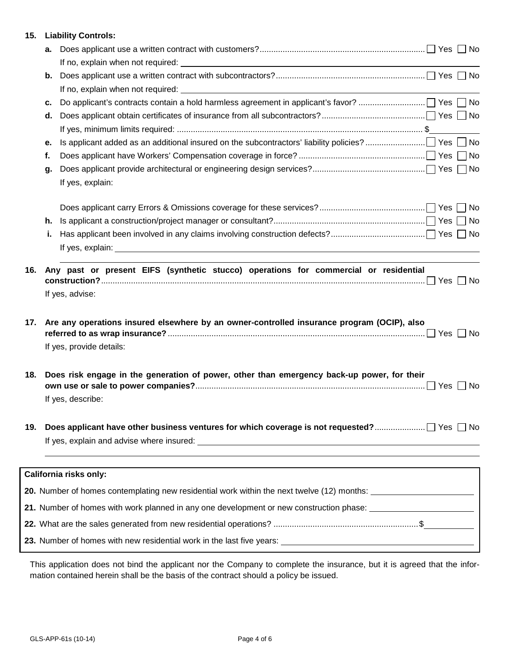| 15. |    | <b>Liability Controls:</b>                                                                                                                                                                                                           |  |
|-----|----|--------------------------------------------------------------------------------------------------------------------------------------------------------------------------------------------------------------------------------------|--|
|     |    |                                                                                                                                                                                                                                      |  |
|     |    |                                                                                                                                                                                                                                      |  |
|     | b. |                                                                                                                                                                                                                                      |  |
|     |    |                                                                                                                                                                                                                                      |  |
|     | с. |                                                                                                                                                                                                                                      |  |
|     | d. |                                                                                                                                                                                                                                      |  |
|     |    |                                                                                                                                                                                                                                      |  |
|     | е. |                                                                                                                                                                                                                                      |  |
|     | f. |                                                                                                                                                                                                                                      |  |
|     | g. | If yes, explain:                                                                                                                                                                                                                     |  |
|     |    |                                                                                                                                                                                                                                      |  |
|     | h. |                                                                                                                                                                                                                                      |  |
|     | i. |                                                                                                                                                                                                                                      |  |
|     |    | If yes, explain: <u>the contract of the contract of the contract of the contract of the contract of the contract of the contract of the contract of the contract of the contract of the contract of the contract of the contract</u> |  |
| 17. |    | Are any operations insured elsewhere by an owner-controlled insurance program (OCIP), also<br>If yes, provide details:                                                                                                               |  |
| 18. |    | Does risk engage in the generation of power, other than emergency back-up power, for their<br>If yes, describe:                                                                                                                      |  |
| 19. |    |                                                                                                                                                                                                                                      |  |
|     |    | California risks only:                                                                                                                                                                                                               |  |
|     |    | 20. Number of homes contemplating new residential work within the next twelve (12) months:                                                                                                                                           |  |
|     |    | 21. Number of homes with work planned in any one development or new construction phase: ______________________                                                                                                                       |  |
|     |    |                                                                                                                                                                                                                                      |  |
|     |    |                                                                                                                                                                                                                                      |  |

This application does not bind the applicant nor the Company to complete the insurance, but it is agreed that the information contained herein shall be the basis of the contract should a policy be issued.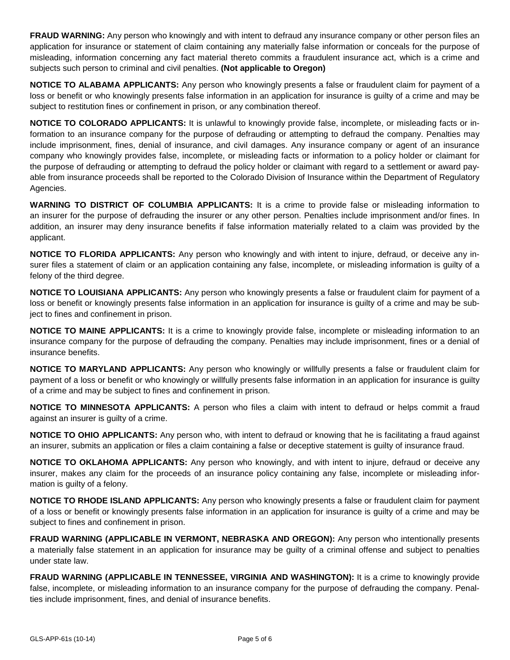**FRAUD WARNING:** Any person who knowingly and with intent to defraud any insurance company or other person files an application for insurance or statement of claim containing any materially false information or conceals for the purpose of misleading, information concerning any fact material thereto commits a fraudulent insurance act, which is a crime and subjects such person to criminal and civil penalties. **(Not applicable to Oregon)**

**NOTICE TO ALABAMA APPLICANTS:** Any person who knowingly presents a false or fraudulent claim for payment of a loss or benefit or who knowingly presents false information in an application for insurance is guilty of a crime and may be subject to restitution fines or confinement in prison, or any combination thereof.

**NOTICE TO COLORADO APPLICANTS:** It is unlawful to knowingly provide false, incomplete, or misleading facts or information to an insurance company for the purpose of defrauding or attempting to defraud the company. Penalties may include imprisonment, fines, denial of insurance, and civil damages. Any insurance company or agent of an insurance company who knowingly provides false, incomplete, or misleading facts or information to a policy holder or claimant for the purpose of defrauding or attempting to defraud the policy holder or claimant with regard to a settlement or award payable from insurance proceeds shall be reported to the Colorado Division of Insurance within the Department of Regulatory Agencies.

**WARNING TO DISTRICT OF COLUMBIA APPLICANTS:** It is a crime to provide false or misleading information to an insurer for the purpose of defrauding the insurer or any other person. Penalties include imprisonment and/or fines. In addition, an insurer may deny insurance benefits if false information materially related to a claim was provided by the applicant.

**NOTICE TO FLORIDA APPLICANTS:** Any person who knowingly and with intent to injure, defraud, or deceive any insurer files a statement of claim or an application containing any false, incomplete, or misleading information is guilty of a felony of the third degree.

**NOTICE TO LOUISIANA APPLICANTS:** Any person who knowingly presents a false or fraudulent claim for payment of a loss or benefit or knowingly presents false information in an application for insurance is guilty of a crime and may be subject to fines and confinement in prison.

**NOTICE TO MAINE APPLICANTS:** It is a crime to knowingly provide false, incomplete or misleading information to an insurance company for the purpose of defrauding the company. Penalties may include imprisonment, fines or a denial of insurance benefits.

**NOTICE TO MARYLAND APPLICANTS:** Any person who knowingly or willfully presents a false or fraudulent claim for payment of a loss or benefit or who knowingly or willfully presents false information in an application for insurance is guilty of a crime and may be subject to fines and confinement in prison.

**NOTICE TO MINNESOTA APPLICANTS:** A person who files a claim with intent to defraud or helps commit a fraud against an insurer is guilty of a crime.

**NOTICE TO OHIO APPLICANTS:** Any person who, with intent to defraud or knowing that he is facilitating a fraud against an insurer, submits an application or files a claim containing a false or deceptive statement is guilty of insurance fraud.

**NOTICE TO OKLAHOMA APPLICANTS:** Any person who knowingly, and with intent to injure, defraud or deceive any insurer, makes any claim for the proceeds of an insurance policy containing any false, incomplete or misleading information is guilty of a felony.

**NOTICE TO RHODE ISLAND APPLICANTS:** Any person who knowingly presents a false or fraudulent claim for payment of a loss or benefit or knowingly presents false information in an application for insurance is guilty of a crime and may be subject to fines and confinement in prison.

**FRAUD WARNING (APPLICABLE IN VERMONT, NEBRASKA AND OREGON):** Any person who intentionally presents a materially false statement in an application for insurance may be guilty of a criminal offense and subject to penalties under state law.

**FRAUD WARNING (APPLICABLE IN TENNESSEE, VIRGINIA AND WASHINGTON):** It is a crime to knowingly provide false, incomplete, or misleading information to an insurance company for the purpose of defrauding the company. Penalties include imprisonment, fines, and denial of insurance benefits.